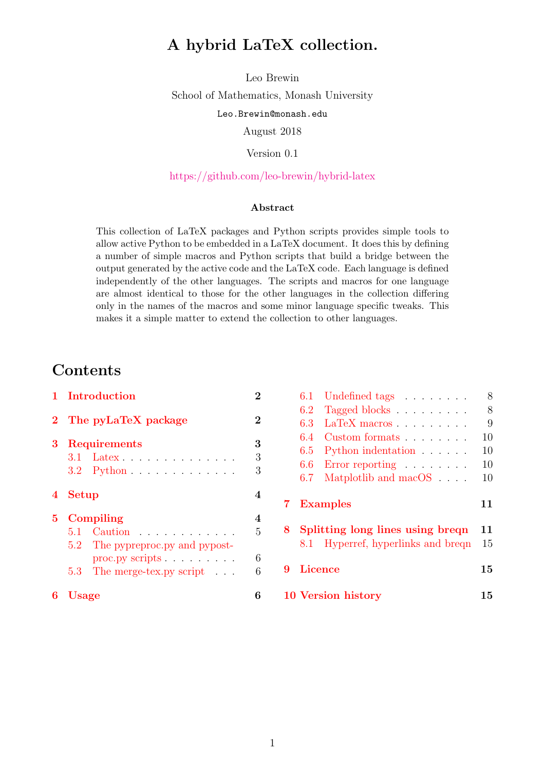## <span id="page-0-0"></span>A hybrid LaTeX collection.

Leo Brewin School of Mathematics, Monash University Leo.Brewin@monash.edu August 2018

Version 0.1

#### <https://github.com/leo-brewin/hybrid-latex>

#### Abstract

This collection of LaTeX packages and Python scripts provides simple tools to allow active Python to be embedded in a LaTeX document. It does this by defining a number of simple macros and Python scripts that build a bridge between the output generated by the active code and the LaTeX code. Each language is defined independently of the other languages. The scripts and macros for one language are almost identical to those for the other languages in the collection differing only in the names of the macros and some minor language specific tweaks. This makes it a simple matter to extend the collection to other languages.

## **Contents**

|                         | 1 Introduction                                                                                                          |                  |  |  |
|-------------------------|-------------------------------------------------------------------------------------------------------------------------|------------------|--|--|
| $\bf{2}$                | The pyLaTeX package                                                                                                     | $\overline{2}$   |  |  |
| 3                       | <b>Requirements</b><br>$3.1$ Latex<br>$3.2$ Python $\dots \dots \dots \dots$                                            | 3<br>3<br>3      |  |  |
| $\overline{\mathbf{4}}$ | Setup                                                                                                                   | 4                |  |  |
| $\bf{5}$                | Compiling<br>5.1 Caution<br>5.2 The pypreproc.py and pypost-<br>proc.py scripts $\ldots$<br>5.3 The merge-tex.py script | 4<br>5<br>6<br>6 |  |  |
| 6                       | <b>Usage</b>                                                                                                            | 6                |  |  |

|   | 6.1            | Undefined tags                            | 8  |
|---|----------------|-------------------------------------------|----|
|   | 6.2            | Tagged blocks                             | 8  |
|   | 6.3            | $LaTeX$ macros $\ldots$ $\ldots$ $\ldots$ | 9  |
|   | 6.4            | Custom formats                            | 10 |
|   | 6.5            | Python indentation                        | 10 |
|   | 6.6            | Error reporting $\ldots \ldots \ldots$    | 10 |
|   | 6.7            | Matplotlib and macOS                      | 10 |
| 7 |                | <b>Examples</b>                           | 11 |
| 8 |                | Splitting long lines using brequently     | 11 |
|   | 8.1            | Hyperref, hyperlinks and breqn            | 15 |
| 9 | <b>Licence</b> |                                           | 15 |
|   |                | 10 Version history                        | 15 |
|   |                |                                           |    |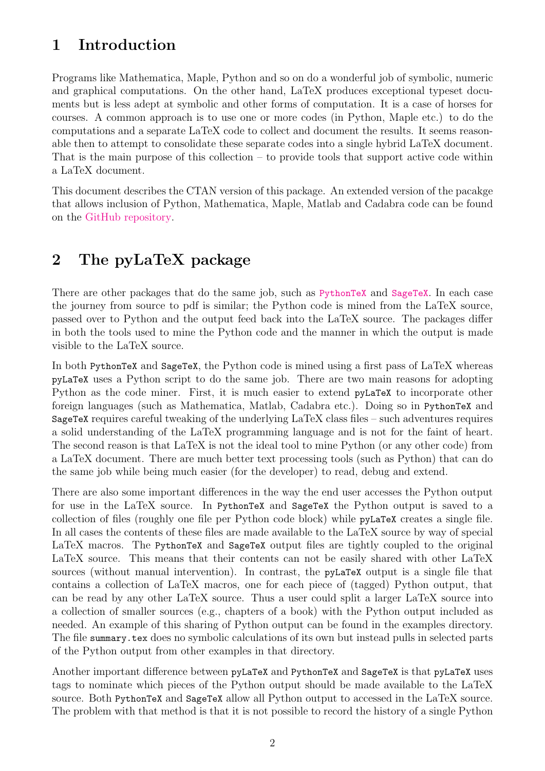# <span id="page-1-0"></span>1 Introduction

Programs like Mathematica, Maple, Python and so on do a wonderful job of symbolic, numeric and graphical computations. On the other hand, LaTeX produces exceptional typeset documents but is less adept at symbolic and other forms of computation. It is a case of horses for courses. A common approach is to use one or more codes (in Python, Maple etc.) to do the computations and a separate LaTeX code to collect and document the results. It seems reasonable then to attempt to consolidate these separate codes into a single hybrid LaTeX document. That is the main purpose of this collection – to provide tools that support active code within a LaTeX document.

This document describes the CTAN version of this package. An extended version of the pacakge that allows inclusion of Python, Mathematica, Maple, Matlab and Cadabra code can be found on the [GitHub repository.](https://github.com/leo-brewin/hybrid-latex)

# <span id="page-1-1"></span>2 The pyLaTeX package

There are other packages that do the same job, such as [PythonTeX](https://github.com/gpoore/pythontex) and [SageTeX](https://github.com/sagemath/sagetex). In each case the journey from source to pdf is similar; the Python code is mined from the LaTeX source, passed over to Python and the output feed back into the LaTeX source. The packages differ in both the tools used to mine the Python code and the manner in which the output is made visible to the LaTeX source.

In both PythonTeX and SageTeX, the Python code is mined using a first pass of LaTeX whereas pyLaTeX uses a Python script to do the same job. There are two main reasons for adopting Python as the code miner. First, it is much easier to extend pyLaTeX to incorporate other foreign languages (such as Mathematica, Matlab, Cadabra etc.). Doing so in PythonTeX and SageTeX requires careful tweaking of the underlying LaTeX class files – such adventures requires a solid understanding of the LaTeX programming language and is not for the faint of heart. The second reason is that LaTeX is not the ideal tool to mine Python (or any other code) from a LaTeX document. There are much better text processing tools (such as Python) that can do the same job while being much easier (for the developer) to read, debug and extend.

There are also some important differences in the way the end user accesses the Python output for use in the LaTeX source. In PythonTeX and SageTeX the Python output is saved to a collection of files (roughly one file per Python code block) while pyLaTeX creates a single file. In all cases the contents of these files are made available to the LaTeX source by way of special LaTeX macros. The PythonTeX and SageTeX output files are tightly coupled to the original LaTeX source. This means that their contents can not be easily shared with other LaTeX sources (without manual intervention). In contrast, the pyLaTeX output is a single file that contains a collection of LaTeX macros, one for each piece of (tagged) Python output, that can be read by any other LaTeX source. Thus a user could split a larger LaTeX source into a collection of smaller sources (e.g., chapters of a book) with the Python output included as needed. An example of this sharing of Python output can be found in the examples directory. The file summary.tex does no symbolic calculations of its own but instead pulls in selected parts of the Python output from other examples in that directory.

Another important difference between pyLaTeX and PythonTeX and SageTeX is that pyLaTeX uses tags to nominate which pieces of the Python output should be made available to the LaTeX source. Both PythonTeX and SageTeX allow all Python output to accessed in the LaTeX source. The problem with that method is that it is not possible to record the history of a single Python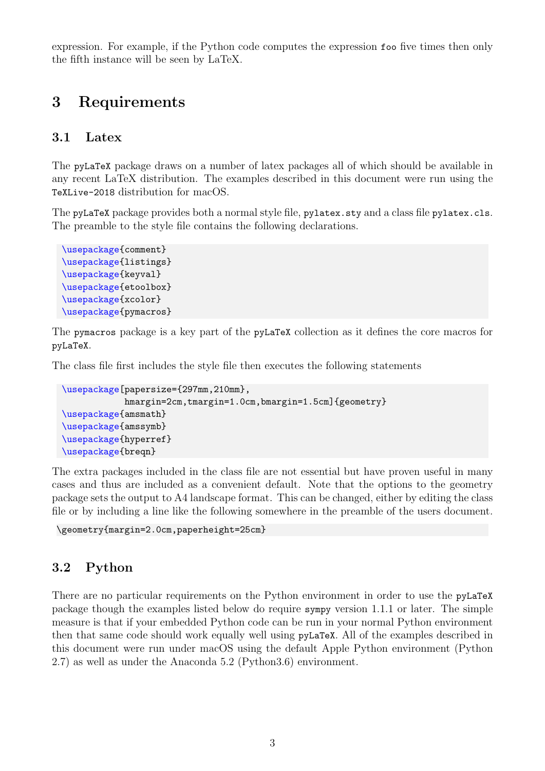expression. For example, if the Python code computes the expression foo five times then only the fifth instance will be seen by LaTeX.

## <span id="page-2-0"></span>3 Requirements

#### <span id="page-2-1"></span>3.1 Latex

The pyLaTeX package draws on a number of latex packages all of which should be available in any recent LaTeX distribution. The examples described in this document were run using the TeXLive-2018 distribution for macOS.

The pyLaTeX package provides both a normal style file, pylatex.sty and a class file pylatex.cls. The preamble to the style file contains the following declarations.

```
\usepackage{comment}
\usepackage{listings}
\usepackage{keyval}
\usepackage{etoolbox}
\usepackage{xcolor}
\usepackage{pymacros}
```
The pymacros package is a key part of the pyLaTeX collection as it defines the core macros for pyLaTeX.

The class file first includes the style file then executes the following statements

```
\usepackage[papersize={297mm,210mm},
            hmargin=2cm,tmargin=1.0cm,bmargin=1.5cm]{geometry}
\usepackage{amsmath}
\usepackage{amssymb}
\usepackage{hyperref}
\usepackage{breqn}
```
The extra packages included in the class file are not essential but have proven useful in many cases and thus are included as a convenient default. Note that the options to the geometry package sets the output to A4 landscape format. This can be changed, either by editing the class file or by including a line like the following somewhere in the preamble of the users document.

```
\geometry{margin=2.0cm,paperheight=25cm}
```
### <span id="page-2-2"></span>3.2 Python

There are no particular requirements on the Python environment in order to use the pyLaTeX package though the examples listed below do require sympy version 1.1.1 or later. The simple measure is that if your embedded Python code can be run in your normal Python environment then that same code should work equally well using pyLaTeX. All of the examples described in this document were run under macOS using the default Apple Python environment (Python 2.7) as well as under the Anaconda 5.2 (Python3.6) environment.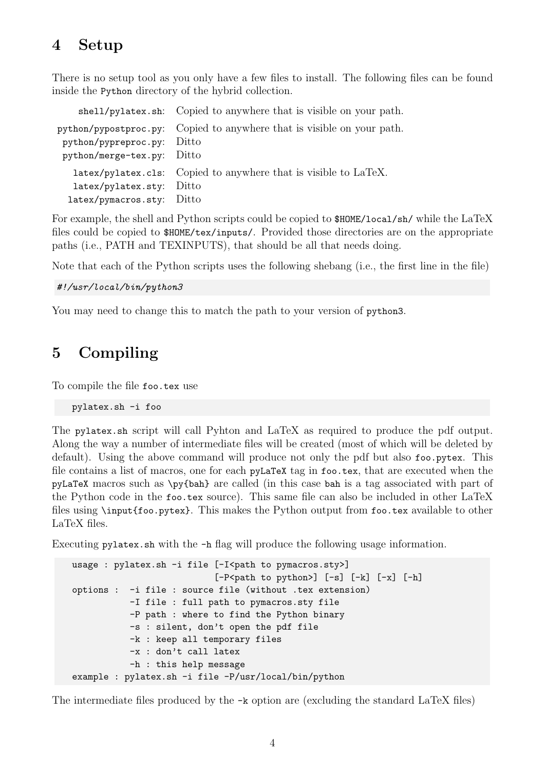## <span id="page-3-0"></span>4 Setup

There is no setup tool as you only have a few files to install. The following files can be found inside the Python directory of the hybrid collection.

shell/pylatex.sh: Copied to anywhere that is visible on your path. python/pypostproc.py: Copied to anywhere that is visible on your path. python/pypreproc.py: Ditto python/merge-tex.py: Ditto latex/pylatex.cls: Copied to anywhere that is visible to LaTeX. latex/pylatex.sty: Ditto latex/pymacros.sty: Ditto

For example, the shell and Python scripts could be copied to \$HOME/local/sh/ while the LaTeX files could be copied to \$HOME/tex/inputs/. Provided those directories are on the appropriate paths (i.e., PATH and TEXINPUTS), that should be all that needs doing.

Note that each of the Python scripts uses the following shebang (i.e., the first line in the file)

#!/usr/local/bin/python3

You may need to change this to match the path to your version of python3.

## <span id="page-3-1"></span>5 Compiling

To compile the file foo.tex use

pylatex.sh -i foo

The pylatex.sh script will call Pyhton and LaTeX as required to produce the pdf output. Along the way a number of intermediate files will be created (most of which will be deleted by default). Using the above command will produce not only the pdf but also foo.pytex. This file contains a list of macros, one for each pyLaTeX tag in foo.tex, that are executed when the pyLaTeX macros such as \py{bah} are called (in this case bah is a tag associated with part of the Python code in the foo.tex source). This same file can also be included in other LaTeX files using \input{foo.pytex}. This makes the Python output from foo.tex available to other LaTeX files.

Executing pylatex.sh with the -h flag will produce the following usage information.

```
usage : pylatex.sh -i file [-I<path to pymacros.sty>]
                            [-P<sub>path to python</sub>] [-s] [-k] [-x] [-h]options : -i file : source file (without .tex extension)
           -I file : full path to pymacros.sty file
           -P path : where to find the Python binary
           -s : silent, don't open the pdf file
           -k : keep all temporary files
           -x : don't call latex
           -h : this help message
example : pylatex.sh -i file -P/usr/local/bin/python
```
The intermediate files produced by the -k option are (excluding the standard LaTeX files)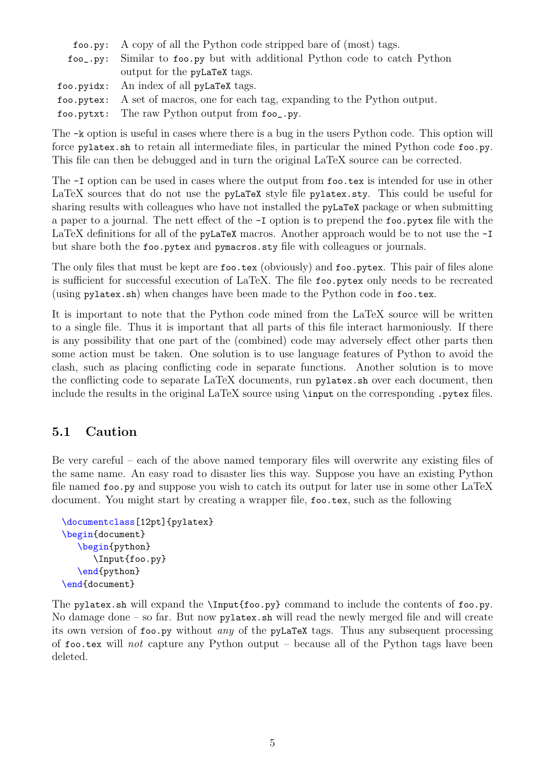| foo.py: A copy of all the Python code stripped bare of (most) tags.           |
|-------------------------------------------------------------------------------|
| foo_.py: Similar to foo.py but with additional Python code to catch Python    |
| output for the pyLaTeX tags.                                                  |
| foo.pyidx: An index of all pyLaTeX tags.                                      |
| foo.pytex: A set of macros, one for each tag, expanding to the Python output. |
| foo.pytxt: The raw Python output from foo_.py.                                |

The -k option is useful in cases where there is a bug in the users Python code. This option will force pylatex.sh to retain all intermediate files, in particular the mined Python code foo.py. This file can then be debugged and in turn the original LaTeX source can be corrected.

The -I option can be used in cases where the output from foo.tex is intended for use in other LaTeX sources that do not use the pyLaTeX style file pylatex.sty. This could be useful for sharing results with colleagues who have not installed the **pyLaTeX** package or when submitting a paper to a journal. The nett effect of the -I option is to prepend the foo.pytex file with the LaTeX definitions for all of the pyLaTeX macros. Another approach would be to not use the  $-I$ but share both the foo.pytex and pymacros.sty file with colleagues or journals.

The only files that must be kept are foo.tex (obviously) and foo.pytex. This pair of files alone is sufficient for successful execution of LaTeX. The file foo.pytex only needs to be recreated (using pylatex.sh) when changes have been made to the Python code in foo.tex.

It is important to note that the Python code mined from the LaTeX source will be written to a single file. Thus it is important that all parts of this file interact harmoniously. If there is any possibility that one part of the (combined) code may adversely effect other parts then some action must be taken. One solution is to use language features of Python to avoid the clash, such as placing conflicting code in separate functions. Another solution is to move the conflicting code to separate LaTeX documents, run pylatex.sh over each document, then include the results in the original LaTeX source using \input on the corresponding .pytex files.

### <span id="page-4-0"></span>5.1 Caution

Be very careful – each of the above named temporary files will overwrite any existing files of the same name. An easy road to disaster lies this way. Suppose you have an existing Python file named foo.py and suppose you wish to catch its output for later use in some other LaTeX document. You might start by creating a wrapper file, foo.tex, such as the following

```
\documentclass[12pt]{pylatex}
\begin{document}
   \begin{python}
      \Input{foo.py}
   \end{python}
\end{document}
```
The pylatex.sh will expand the \Input{foo.py} command to include the contents of foo.py. No damage done – so far. But now  $\not$ y latex.sh will read the newly merged file and will create its own version of foo.py without any of the pyLaTeX tags. Thus any subsequent processing of foo.tex will not capture any Python output – because all of the Python tags have been deleted.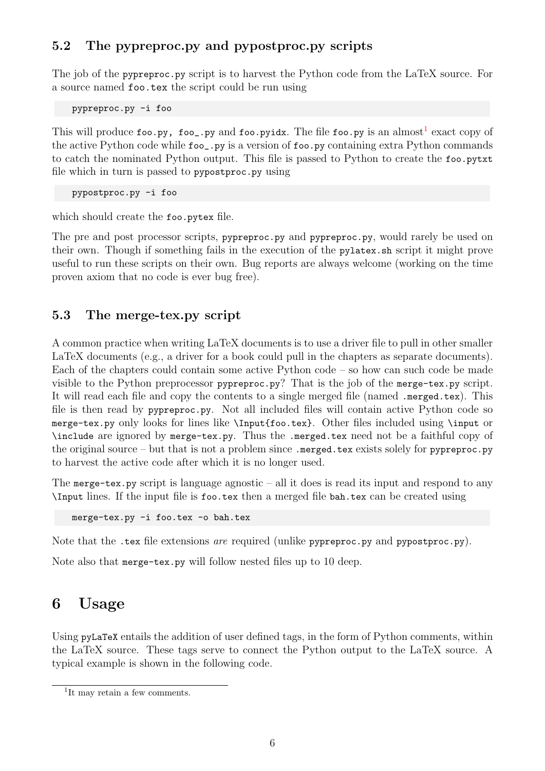## <span id="page-5-0"></span>5.2 The pypreproc.py and pypostproc.py scripts

The job of the pypreproc.py script is to harvest the Python code from the LaTeX source. For a source named foo.tex the script could be run using

pypreproc.py -i foo

This will produce  ${\tt foo.py}$ ,  ${\tt foo\_py}$  and  ${\tt foo.py}$  is. The file  ${\tt foo.py}$  is an almost $^1$  $^1$  exact copy of the active Python code while foo\_.py is a version of foo.py containing extra Python commands to catch the nominated Python output. This file is passed to Python to create the foo.pytxt file which in turn is passed to pypostproc.py using

pypostproc.py -i foo

which should create the foo.pytex file.

The pre and post processor scripts, pypreproc.py and pypreproc.py, would rarely be used on their own. Though if something fails in the execution of the pylatex.sh script it might prove useful to run these scripts on their own. Bug reports are always welcome (working on the time proven axiom that no code is ever bug free).

### <span id="page-5-1"></span>5.3 The merge-tex.py script

A common practice when writing LaTeX documents is to use a driver file to pull in other smaller LaTeX documents (e.g., a driver for a book could pull in the chapters as separate documents). Each of the chapters could contain some active Python code – so how can such code be made visible to the Python preprocessor pypreproc.py? That is the job of the merge-tex.py script. It will read each file and copy the contents to a single merged file (named .merged.tex). This file is then read by pypreproc.py. Not all included files will contain active Python code so merge-tex.py only looks for lines like \Input{foo.tex}. Other files included using \input or \include are ignored by merge-tex.py. Thus the .merged.tex need not be a faithful copy of the original source – but that is not a problem since  $\mathbf{I}$  merged.tex exists solely for pypreproc.py to harvest the active code after which it is no longer used.

The merge-tex.py script is language agnostic – all it does is read its input and respond to any \Input lines. If the input file is foo.tex then a merged file bah.tex can be created using

merge-tex.py -i foo.tex -o bah.tex

Note that the .tex file extensions *are* required (unlike pypreproc.py and pypostproc.py).

Note also that merge-tex.py will follow nested files up to 10 deep.

## <span id="page-5-2"></span>6 Usage

Using pyLaTeX entails the addition of user defined tags, in the form of Python comments, within the LaTeX source. These tags serve to connect the Python output to the LaTeX source. A typical example is shown in the following code.

<span id="page-5-3"></span><sup>&</sup>lt;sup>1</sup>It may retain a few comments.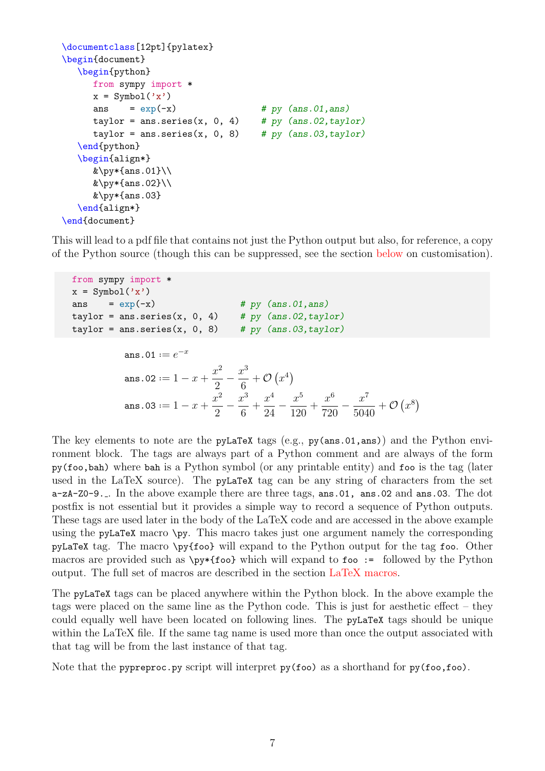```
\documentclass[12pt]{pylatex}
\begin{document}
  \begin{python}
     from sympy import *
     x = Symbol('x')
     ans = exp(-x) # py (ans.01, ans)
     taylor = ans.series(x, 0, 4) # py (ans.02, taylor)taylor = ans.series(x, 0, 8) # py (ans.03, taylor)\end{python}
  \begin{align*}
     \&\py*{\ans.01}\\\\&\py*\{ans.02\}\\&\py*{ans.03}\end{align*}
\end{document}
```
This will lead to a pdf file that contains not just the Python output but also, for reference, a copy of the Python source (though this can be suppressed, see the section [below](#page-9-4) on customisation).

```
from sympy import *
x = \text{Symbol}('x')ans = exp(-x) # py (ans.01, ans)taylor = ans.series(x, 0, 4) # py (ans.02, taylor)
taylor = ans.series(x, 0, 8) # py ans.03, taylor)ans.01 := e^{-x}ans.02 := 1 - x + \frac{x^2}{2}2
                                     -\frac{x^3}{6}6
                                           + O (x^4)ans.03 := 1 - x + \frac{x^2}{2}2
                                     -\frac{x^3}{6}6
                                           +x^424
                                                 -\frac{x^5}{10}120
                                                         +x^6720
                                                                -\frac{x^7}{504}5040
                                                                         + \mathcal{O}(x^8)
```
The key elements to note are the pyLaTeX tags (e.g., py(ans.01,ans)) and the Python environment block. The tags are always part of a Python comment and are always of the form py(foo,bah) where bah is a Python symbol (or any printable entity) and foo is the tag (later used in the LaTeX source). The pyLaTeX tag can be any string of characters from the set a-zA-Z0-9. . In the above example there are three tags, ans.01, ans.02 and ans.03. The dot postfix is not essential but it provides a simple way to record a sequence of Python outputs. These tags are used later in the body of the LaTeX code and are accessed in the above example using the pyLaTeX macro \py. This macro takes just one argument namely the corresponding pyLaTeX tag. The macro \py{foo} will expand to the Python output for the tag foo. Other macros are provided such as  $\py*$  (foo) which will expand to foo := followed by the Python output. The full set of macros are described in the section [LaTeX macros.](#page-8-1)

The pyLaTeX tags can be placed anywhere within the Python block. In the above example the tags were placed on the same line as the Python code. This is just for aesthetic effect – they could equally well have been located on following lines. The pyLaTeX tags should be unique within the LaTeX file. If the same tag name is used more than once the output associated with that tag will be from the last instance of that tag.

Note that the pypreproc.py script will interpret  $py(foo)$  as a shorthand for  $py(foo, foo)$ .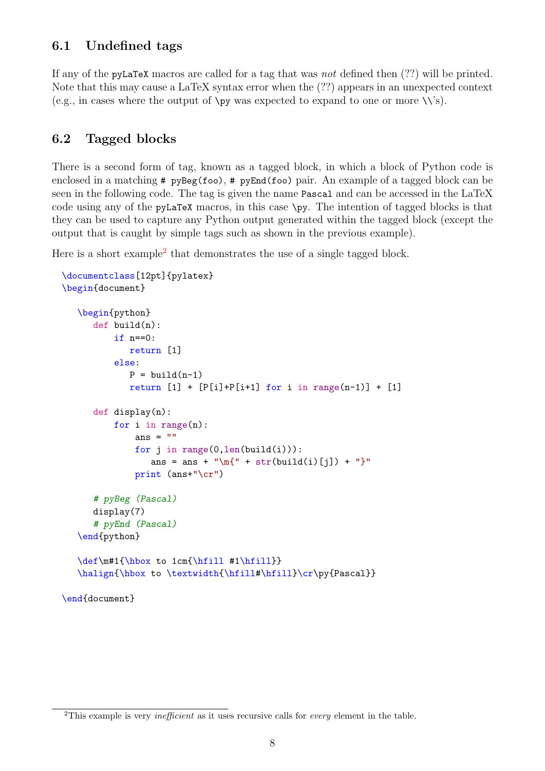## <span id="page-7-0"></span>6.1 Undefined tags

If any of the pyLaTeX macros are called for a tag that was not defined then (??) will be printed. Note that this may cause a LaTeX syntax error when the (??) appears in an unexpected context (e.g., in cases where the output of  $\psi$  was expected to expand to one or more  $\setminus \$ s).

### <span id="page-7-1"></span>6.2 Tagged blocks

There is a second form of tag, known as a tagged block, in which a block of Python code is enclosed in a matching  $\#$  pyBeg(foo),  $\#$  pyEnd(foo) pair. An example of a tagged block can be seen in the following code. The tag is given the name Pascal and can be accessed in the LaTeX code using any of the pyLaTeX macros, in this case \py. The intention of tagged blocks is that they can be used to capture any Python output generated within the tagged block (except the output that is caught by simple tags such as shown in the previous example).

Here is a short example<sup>[2](#page-7-2)</sup> that demonstrates the use of a single tagged block.

```
\documentclass[12pt]{pylatex}
\begin{document}
   \begin{python}
      def build(n):
          if n == 0:
             return [1]
          else:
             P = \text{build}(n-1)return [1] + [P[i]+P[i+1] for i in range(n-1)] + [1]def display(n):
          for i in range(n):
               ans = ""
               for j in range(0,len(build(i))):
                  ans = ans + "\m{\mathbf{u} + \text{str}(build(i)[i]) + "}"
               print (ans+"\cr")
      # pyBeg (Pascal)
      display(7)
      # pyEnd (Pascal)
   \end{python}
   \def\m#1{\hbox to 1cm{\hfill #1\hfill}}
   \halign{\hbox to \textwidth{\hfill#\hfill}\cr\py{Pascal}}
\end{document}
```
<span id="page-7-2"></span><sup>&</sup>lt;sup>2</sup>This example is very *inefficient* as it uses recursive calls for *every* element in the table.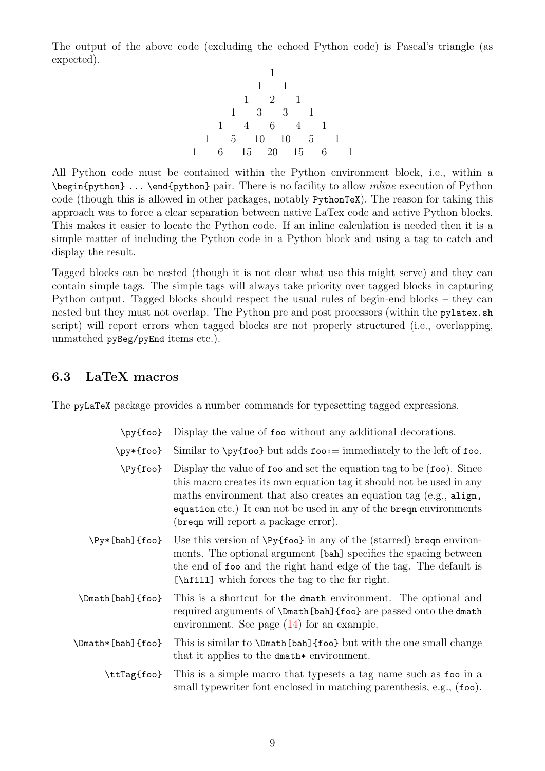The output of the above code (excluding the echoed Python code) is Pascal's triangle (as expected).

1 1 1 1 2 1 1 3 3 1 1 4 6 4 1 1 5 10 10 5 1 1 6 15 20 15 6 1

All Python code must be contained within the Python environment block, i.e., within a \begin{python} ... \end{python} pair. There is no facility to allow inline execution of Python code (though this is allowed in other packages, notably PythonTeX). The reason for taking this approach was to force a clear separation between native LaTex code and active Python blocks. This makes it easier to locate the Python code. If an inline calculation is needed then it is a simple matter of including the Python code in a Python block and using a tag to catch and display the result.

Tagged blocks can be nested (though it is not clear what use this might serve) and they can contain simple tags. The simple tags will always take priority over tagged blocks in capturing Python output. Tagged blocks should respect the usual rules of begin-end blocks – they can nested but they must not overlap. The Python pre and post processors (within the pylatex.sh script) will report errors when tagged blocks are not properly structured (i.e., overlapping, unmatched pyBeg/pyEnd items etc.).

#### <span id="page-8-0"></span>6.3 LaTeX macros

<span id="page-8-1"></span>The pyLaTeX package provides a number commands for typesetting tagged expressions.

|  |  |  | \py{foo} Display the value of foo without any additional decorations. |
|--|--|--|-----------------------------------------------------------------------|
|  |  |  |                                                                       |

- $\py*{foo}$  Similar to  $\py{foo}$  but adds foo: = immediately to the left of foo.
- $\Py{foo}$  Display the value of foo and set the equation tag to be (foo). Since this macro creates its own equation tag it should not be used in any maths environment that also creates an equation tag (e.g., align, equation etc.) It can not be used in any of the breqn environments (breqn will report a package error).
- \Py\*[bah]{foo} Use this version of \Py{foo} in any of the (starred) breqn environments. The optional argument [bah] specifies the spacing between the end of foo and the right hand edge of the tag. The default is [\hfill] which forces the tag to the far right.
- \Dmath[bah]{foo} This is a shortcut for the dmath environment. The optional and required arguments of \Dmath[bah]{foo} are passed onto the dmath environment. See page  $(14)$  for an example.
- \Dmath\*[bah]{foo} This is similar to \Dmath[bah]{foo} but with the one small change that it applies to the dmath\* environment.
	- \ttTag{foo} This is a simple macro that typesets a tag name such as foo in a small typewriter font enclosed in matching parenthesis, e.g., (foo).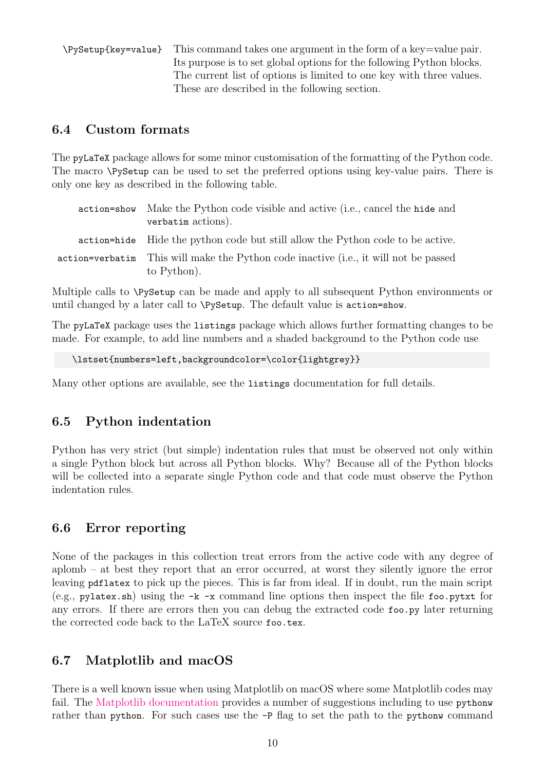\PySetup{key=value} This command takes one argument in the form of a key=value pair. Its purpose is to set global options for the following Python blocks. The current list of options is limited to one key with three values. These are described in the following section.

### <span id="page-9-0"></span>6.4 Custom formats

<span id="page-9-4"></span>The pyLaTeX package allows for some minor customisation of the formatting of the Python code. The macro \PySetup can be used to set the preferred options using key-value pairs. There is only one key as described in the following table.

| action=show | Make the Python code visible and active (i.e., cancel the hide and<br>verbatim actions).            |
|-------------|-----------------------------------------------------------------------------------------------------|
|             | action=hide Hide the python code but still allow the Python code to be active.                      |
|             | action=verbatim This will make the Python code inactive (i.e., it will not be passed<br>to Python). |

Multiple calls to \PySetup can be made and apply to all subsequent Python environments or until changed by a later call to \PySetup. The default value is action=show.

The pyLaTeX package uses the listings package which allows further formatting changes to be made. For example, to add line numbers and a shaded background to the Python code use

```
\lstset{numbers=left,backgroundcolor=\color{lightgrey}}
```
Many other options are available, see the listings documentation for full details.

### <span id="page-9-1"></span>6.5 Python indentation

Python has very strict (but simple) indentation rules that must be observed not only within a single Python block but across all Python blocks. Why? Because all of the Python blocks will be collected into a separate single Python code and that code must observe the Python indentation rules.

### <span id="page-9-2"></span>6.6 Error reporting

None of the packages in this collection treat errors from the active code with any degree of aplomb – at best they report that an error occurred, at worst they silently ignore the error leaving pdflatex to pick up the pieces. This is far from ideal. If in doubt, run the main script  $(e.g.,\text{ pylatex.sh})$  using the  $-k$  -x command line options then inspect the file foo.pytxt for any errors. If there are errors then you can debug the extracted code foo.py later returning the corrected code back to the LaTeX source foo.tex.

### <span id="page-9-3"></span>6.7 Matplotlib and macOS

There is a well known issue when using Matplotlib on macOS where some Matplotlib codes may fail. The [Matplotlib documentation](https://matplotlib.org/faq/osx_framework.html) provides a number of suggestions including to use pythonw rather than python. For such cases use the -P flag to set the path to the pythonw command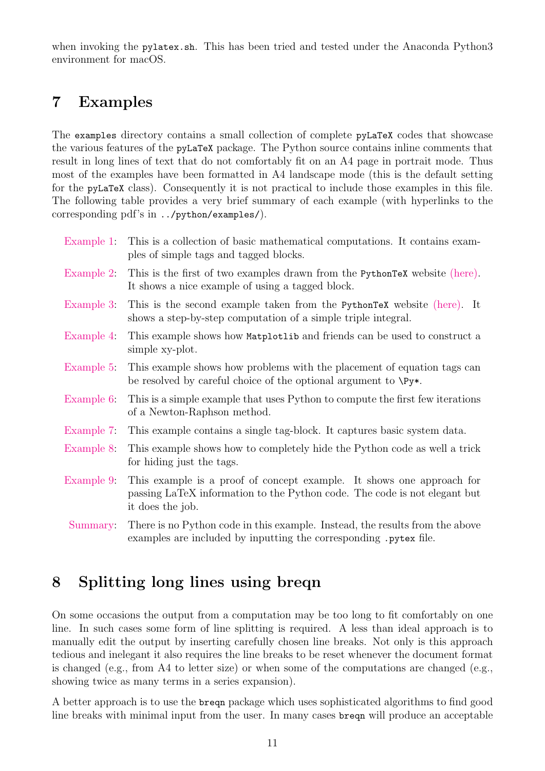when invoking the pylatex.sh. This has been tried and tested under the Anaconda Python3 environment for macOS.

## <span id="page-10-0"></span>7 Examples

The examples directory contains a small collection of complete pyLaTeX codes that showcase the various features of the pyLaTeX package. The Python source contains inline comments that result in long lines of text that do not comfortably fit on an A4 page in portrait mode. Thus most of the examples have been formatted in A4 landscape mode (this is the default setting for the pyLaTeX class). Consequently it is not practical to include those examples in this file. The following table provides a very brief summary of each example (with hyperlinks to the corresponding pdf's in ../python/examples/).

| Example 1:  | This is a collection of basic mathematical computations. It contains exam-<br>ples of simple tags and tagged blocks.                                                   |  |  |  |  |
|-------------|------------------------------------------------------------------------------------------------------------------------------------------------------------------------|--|--|--|--|
| Example 2:  | This is the first of two examples drawn from the PythonTeX website (here).<br>It shows a nice example of using a tagged block.                                         |  |  |  |  |
| Example 3:  | This is the second example taken from the PythonTeX website (here). It<br>shows a step-by-step computation of a simple triple integral.                                |  |  |  |  |
| Example 4:  | This example shows how Matplotlib and friends can be used to construct a<br>simple xy-plot.                                                                            |  |  |  |  |
| Example 5:  | This example shows how problems with the placement of equation tags can<br>be resolved by careful choice of the optional argument to $\Py*$ .                          |  |  |  |  |
| Example $6$ | This is a simple example that uses Python to compute the first few iterations<br>of a Newton-Raphson method.                                                           |  |  |  |  |
| Example 7:  | This example contains a single tag-block. It captures basic system data.                                                                                               |  |  |  |  |
| Example 8:  | This example shows how to completely hide the Python code as well a trick<br>for hiding just the tags.                                                                 |  |  |  |  |
| Example 9:  | This example is a proof of concept example. It shows one approach for<br>passing LaTeX information to the Python code. The code is not elegant but<br>it does the job. |  |  |  |  |
| Summary:    | There is no Python code in this example. Instead, the results from the above<br>examples are included by inputting the corresponding . pytex file.                     |  |  |  |  |

## <span id="page-10-1"></span>8 Splitting long lines using breqn

On some occasions the output from a computation may be too long to fit comfortably on one line. In such cases some form of line splitting is required. A less than ideal approach is to manually edit the output by inserting carefully chosen line breaks. Not only is this approach tedious and inelegant it also requires the line breaks to be reset whenever the document format is changed (e.g., from A4 to letter size) or when some of the computations are changed (e.g., showing twice as many terms in a series expansion).

A better approach is to use the breqn package which uses sophisticated algorithms to find good line breaks with minimal input from the user. In many cases breqn will produce an acceptable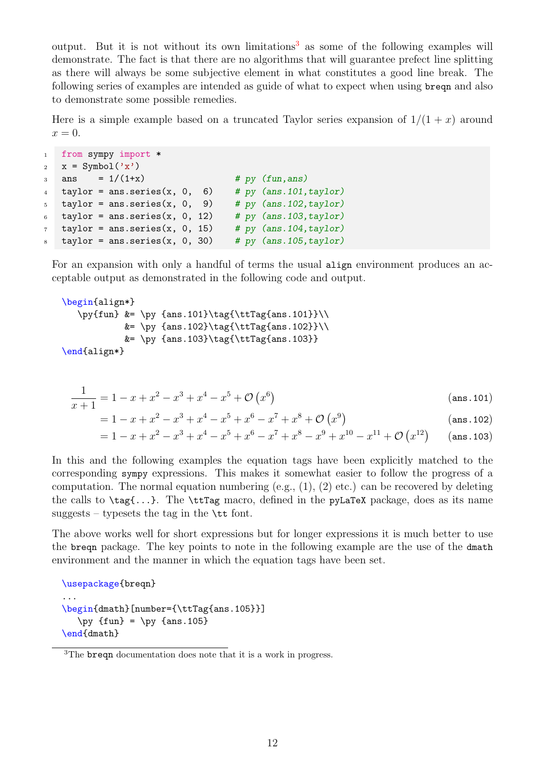output. But it is not without its own limitations<sup>[3](#page-11-0)</sup> as some of the following examples will demonstrate. The fact is that there are no algorithms that will guarantee prefect line splitting as there will always be some subjective element in what constitutes a good line break. The following series of examples are intended as guide of what to expect when using breqn and also to demonstrate some possible remedies.

Here is a simple example based on a truncated Taylor series expansion of  $1/(1+x)$  around  $x=0.$ 

```
1 from sympy import *
2 x = \text{Symbol}('x')3 \text{ ans} = 1/(1+x) # py (fun, ans)
4 taylor = ans.series(x, 0, 6) # py (ans.101, taylor)
5 taylor = ans.series(x, 0, 9) # py (ans.102, taylor)
6 taylor = ans.series(x, 0, 12) # py (ans.103, taylor)
\tau taylor = ans.series(x, 0, 15) # py (ans.104, taylor)
   taylor = ans.series(x, 0, 30) # py (ans. 105, taylor)
```
For an expansion with only a handful of terms the usual align environment produces an acceptable output as demonstrated in the following code and output.

```
\begin{align*}
  \py{fun} &= \py {ans.101}\tag{\ttTag{ans.101}}\\
          k = \py \{ans.102\}\tag{ans.102}k = \py \{ans.103\}\tag{5.103}\end{align*}
```

$$
\frac{1}{x+1} = 1 - x + x^2 - x^3 + x^4 - x^5 + \mathcal{O}(x^6)
$$
 (ans.101)

$$
= 1 - x + x2 - x3 + x4 - x5 + x6 - x7 + x8 + \mathcal{O}(x9)
$$
 (ans. 102)

$$
= 1 - x + x^2 - x^3 + x^4 - x^5 + x^6 - x^7 + x^8 - x^9 + x^{10} - x^{11} + \mathcal{O} (x^{12}) \qquad \text{(ans. 103)}
$$

In this and the following examples the equation tags have been explicitly matched to the corresponding sympy expressions. This makes it somewhat easier to follow the progress of a computation. The normal equation numbering (e.g.,  $(1)$ ,  $(2)$  etc.) can be recovered by deleting the calls to  $\tag{1..}$ . The  $\text{trTag macro, defined in the pyLaTeX package, does as its name}$ suggests – typesets the tag in the  $\tt \tilde{t}$  font.

The above works well for short expressions but for longer expressions it is much better to use the breqn package. The key points to note in the following example are the use of the dmath environment and the manner in which the equation tags have been set.

```
\usepackage{breqn}
...
\begin{dmath}[number={\ttTag{ans.105}}]
   \py {fun} = \py {ans.105}
\end{dmath}
```
<span id="page-11-0"></span><sup>3</sup>The breqn documentation does note that it is a work in progress.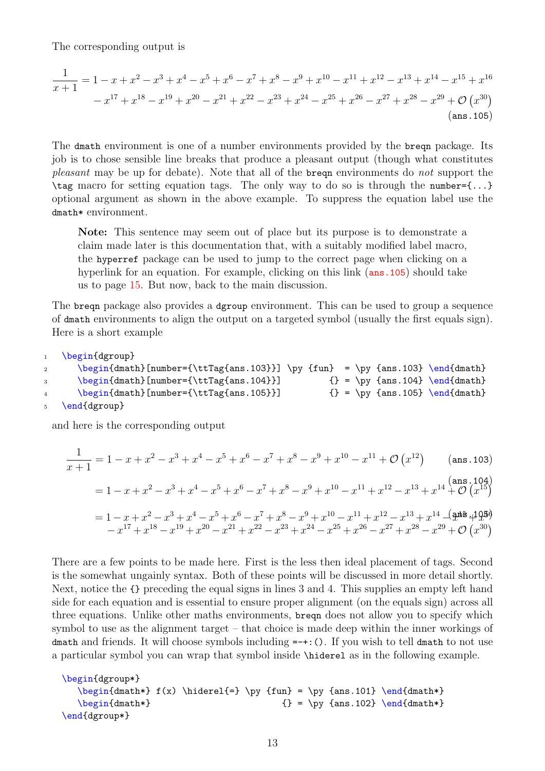The corresponding output is

$$
\frac{1}{x+1} = 1 - x + x^2 - x^3 + x^4 - x^5 + x^6 - x^7 + x^8 - x^9 + x^{10} - x^{11} + x^{12} - x^{13} + x^{14} - x^{15} + x^{16}
$$

$$
- x^{17} + x^{18} - x^{19} + x^{20} - x^{21} + x^{22} - x^{23} + x^{24} - x^{25} + x^{26} - x^{27} + x^{28} - x^{29} + \mathcal{O} (x^{30})
$$
(ans.105)

The dmath environment is one of a number environments provided by the breqn package. Its job is to chose sensible line breaks that produce a pleasant output (though what constitutes pleasant may be up for debate). Note that all of the breque environments do not support the  $\tau$  macro for setting equation tags. The only way to do so is through the number={...} optional argument as shown in the above example. To suppress the equation label use the dmath\* environment.

<span id="page-12-0"></span>Note: This sentence may seem out of place but its purpose is to demonstrate a claim made later is this documentation that, with a suitably modified label macro, the hyperref package can be used to jump to the correct page when clicking on a hyperlink for an equation. For example, clicking on this link (ans. 105) should take us to page [15.](#page-14-3) But now, back to the main discussion.

The breqn package also provides a dgroup environment. This can be used to group a sequence of dmath environments to align the output on a targeted symbol (usually the first equals sign). Here is a short example

```
1 \begin{dgroup}
```

```
2 \begin{dmath}[number={\ttTag{ans.103}}] \py {fun} = \py {ans.103} \end{dmath}
3 \begin{dmath}[number={\ttTag{ans.104}}] {} = \py {ans.104} \end{dmath}
4 \begin{dmath}[number={\ttTag{ans.105}}] {} {} = \py {ans.105} \end{dmath}
5 \end{dgroup}
```
and here is the corresponding output

$$
\frac{1}{x+1} = 1 - x + x^2 - x^3 + x^4 - x^5 + x^6 - x^7 + x^8 - x^9 + x^{10} - x^{11} + \mathcal{O} (x^{12}) \quad \text{(ans.103)}
$$
\n
$$
= 1 - x + x^2 - x^3 + x^4 - x^5 + x^6 - x^7 + x^8 - x^9 + x^{10} - x^{11} + x^{12} - x^{13} + x^{14} + \mathcal{O} (x^{15})
$$
\n
$$
= 1 - x + x^2 - x^3 + x^4 - x^5 + x^6 - x^7 + x^8 - x^9 + x^{10} - x^{11} + x^{12} - x^{13} + x^{14} - \left(\frac{\mathbf{a} \cdot \mathbf{a}}{2}\right) + \left(\frac{\mathbf{a} \cdot \mathbf{a}}{2}\right) + \left(\frac{\mathbf{a} \cdot \mathbf{a}}{2}\right) + \left(\frac{\mathbf{a} \cdot \mathbf{a}}{2}\right) + \left(\frac{\mathbf{a} \cdot \mathbf{a}}{2}\right) + \left(\frac{\mathbf{a} \cdot \mathbf{a}}{2}\right) + \left(\frac{\mathbf{a} \cdot \mathbf{a}}{2}\right) + \left(\frac{\mathbf{a} \cdot \mathbf{a}}{2}\right) + \left(\frac{\mathbf{a} \cdot \mathbf{a}}{2}\right) + \left(\frac{\mathbf{a} \cdot \mathbf{a}}{2}\right) + \left(\frac{\mathbf{a} \cdot \mathbf{a}}{2}\right) + \left(\frac{\mathbf{a} \cdot \mathbf{a}}{2}\right) + \left(\frac{\mathbf{a} \cdot \mathbf{a}}{2}\right) + \left(\frac{\mathbf{a} \cdot \mathbf{a}}{2}\right) + \left(\frac{\mathbf{a} \cdot \mathbf{a}}{2}\right) + \left(\frac{\mathbf{a} \cdot \mathbf{a}}{2}\right) + \left(\frac{\mathbf{a} \cdot \mathbf{a}}{2}\right) + \left(\frac{\mathbf{a} \cdot \mathbf{a}}{2}\right) + \left(\frac{\mathbf{a} \cdot \mathbf{a}}{2}\right) + \left(\frac{\mathbf{a} \cdot \mathbf{a}}{2}\right) + \left(\frac{\mathbf{a} \cdot \mathbf{a}}{2}\right) + \left(\frac{\mathbf
$$

There are a few points to be made here. First is the less then ideal placement of tags. Second is the somewhat ungainly syntax. Both of these points will be discussed in more detail shortly. Next, notice the {} preceding the equal signs in lines 3 and 4. This supplies an empty left hand side for each equation and is essential to ensure proper alignment (on the equals sign) across all three equations. Unlike other maths environments, breqn does not allow you to specify which symbol to use as the alignment target – that choice is made deep within the inner workings of dmath and friends. It will choose symbols including  $=+:()$ . If you wish to tell dmath to not use a particular symbol you can wrap that symbol inside \hiderel as in the following example.

```
\begin{dgroup*}
   \begin{diam} f(x) \hedge f = \py \{fun\} = \py \{ans.101\} \end{dmath*}\begin{array}{rcl} \begin{array}{rcl} \text{longinf} & \text{longinf} \end{array} \end{array}\end{dgroup*}
```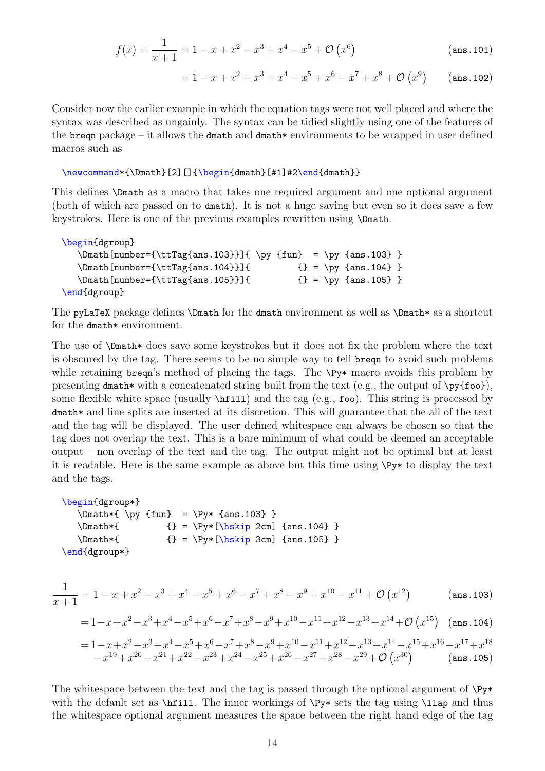$$
f(x) = \frac{1}{x+1} = 1 - x + x^2 - x^3 + x^4 - x^5 + \mathcal{O}(x^6)
$$
 (ans.101)

 $= 1 - x + x^2 - x^3 + x^4 - x^5 + x^6 - x^7 + x^8 + \mathcal{O}(x^9)$ (ans.102)

Consider now the earlier example in which the equation tags were not well placed and where the syntax was described as ungainly. The syntax can be tidied slightly using one of the features of the breqn package – it allows the dmath and dmath\* environments to be wrapped in user defined macros such as

\newcommand\*{\Dmath}[2][]{\begin{dmath}[#1]#2\end{dmath}}

This defines \Dmath as a macro that takes one required argument and one optional argument (both of which are passed on to dmath). It is not a huge saving but even so it does save a few keystrokes. Here is one of the previous examples rewritten using \Dmath.

```
\begin{dgroup}
  \mathrm{number}={\ttrTag{ans.103}} \py {\tanh = \py {ans.103}}\mathrm{number}={\text{arg}}\ {} = \py {ans.104} }
  \mathrm{number}={\ttrTag}{ans.105}} {} = \py {ans.105} }
\end{dgroup}
```
The pyLaTeX package defines \Dmath for the dmath environment as well as \Dmath\* as a shortcut for the dmath\* environment.

The use of \Dmath\* does save some keystrokes but it does not fix the problem where the text is obscured by the tag. There seems to be no simple way to tell breqn to avoid such problems while retaining breqn's method of placing the tags. The  $\Py*$  macro avoids this problem by presenting dmath\* with a concatenated string built from the text (e.g., the output of  $\py{foo}$ ), some flexible white space (usually  $\hbar$ ill) and the tag (e.g., foo). This string is processed by dmath\* and line splits are inserted at its discretion. This will guarantee that the all of the text and the tag will be displayed. The user defined whitespace can always be chosen so that the tag does not overlap the text. This is a bare minimum of what could be deemed an acceptable output – non overlap of the text and the tag. The output might not be optimal but at least it is readable. Here is the same example as above but this time using \Py\* to display the text and the tags.

```
\begin{dgroup*}
   \mathrm{\wndown} = \Py* \{ans.103\}\mathrm{\Lambda*} {} = \Py*[\hskip 2cm] {ans.104} }
   \mathrm{\Lambda*} {} = \Py*[\hskip 3cm] {ans.105} }
\end{dgroup*}
```

$$
\frac{1}{x+1} = 1 - x + x^2 - x^3 + x^4 - x^5 + x^6 - x^7 + x^8 - x^9 + x^{10} - x^{11} + \mathcal{O}(x^{12})
$$
 (ans.103)

$$
= 1 - x + x^2 - x^3 + x^4 - x^5 + x^6 - x^7 + x^8 - x^9 + x^{10} - x^{11} + x^{12} - x^{13} + x^{14} + \mathcal{O} (x^{15}) \quad (\text{ans. 104})
$$

$$
=1-x+x^2-x^3+x^4-x^5+x^6-x^7+x^8-x^9+x^{10}-x^{11}+x^{12}-x^{13}+x^{14}-x^{15}+x^{16}-x^{17}+x^{18} \\ -x^{19}+x^{20}-x^{21}+x^{22}-x^{23}+x^{24}-x^{25}+x^{26}-x^{27}+x^{28}-x^{29}+\mathcal{O} \left( x^{30} \right) \qquad \left( \text{ans. 105} \right)
$$

The whitespace between the text and the tag is passed through the optional argument of  $\Psi^*$ with the default set as  $\hbar$  ill. The inner workings of  $\Py*$  sets the tag using  $\lvert$ lap and thus the whitespace optional argument measures the space between the right hand edge of the tag